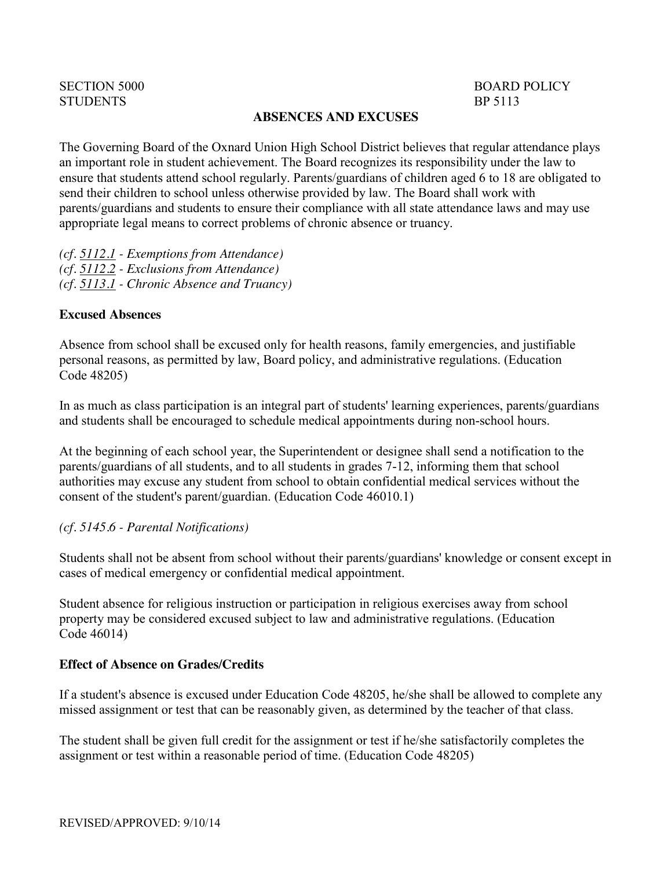# [SECTION 5000](http://gamutonline.net/PolicyCategoryList/1139/5) **STUDENTS**

## BOARD POLICY BP 5113

#### **ABSENCES AND EXCUSES**

The Governing Board of the Oxnard Union High School District believes that regular attendance plays an important role in student achievement. The Board recognizes its responsibility under the law to ensure that students attend school regularly. Parents/guardians of children aged 6 to 18 are obligated to send their children to school unless otherwise provided by law. The Board shall work with parents/guardians and students to ensure their compliance with all state attendance laws and may use appropriate legal means to correct problems of chronic absence or truancy.

*(cf. [5112.1](http://gamutonline.net/displayPolicy/324904/5) - Exemptions from Attendance) (cf. [5112.2](http://gamutonline.net/displayPolicy/352657/5) - Exclusions from Attendance) (cf. [5113.1](http://gamutonline.net/displayPolicy/221607/5) - Chronic Absence and Truancy)*

#### **Excused Absences**

Absence from school shall be excused only for health reasons, family emergencies, and justifiable personal reasons, as permitted by law, Board policy, and administrative regulations. (Education Code [48205\)](http://gamutonline.net/displayPolicy/138126/5)

In as much as class participation is an integral part of students' learning experiences, parents/guardians and students shall be encouraged to schedule medical appointments during non-school hours.

At the beginning of each school year, the Superintendent or designee shall send a notification to the parents/guardians of all students, and to all students in grades 7-12, informing them that school authorities may excuse any student from school to obtain confidential medical services without the consent of the student's parent/guardian. (Education Code [46010.1\)](http://gamutonline.net/displayPolicy/131967/5)

### *(cf. [5145.6](http://gamutonline.net/displayPolicy/222839/5) - Parental Notifications)*

Students shall not be absent from school without their parents/guardians' knowledge or consent except in cases of medical emergency or confidential medical appointment.

Student absence for religious instruction or participation in religious exercises away from school property may be considered excused subject to law and administrative regulations. (Education Code [46014\)](http://gamutonline.net/displayPolicy/131974/5)

### **Effect of Absence on Grades/Credits**

If a student's absence is excused under Education Code [48205,](http://gamutonline.net/displayPolicy/138126/5) he/she shall be allowed to complete any missed assignment or test that can be reasonably given, as determined by the teacher of that class.

The student shall be given full credit for the assignment or test if he/she satisfactorily completes the assignment or test within a reasonable period of time. (Education Code [48205\)](http://gamutonline.net/displayPolicy/138126/5)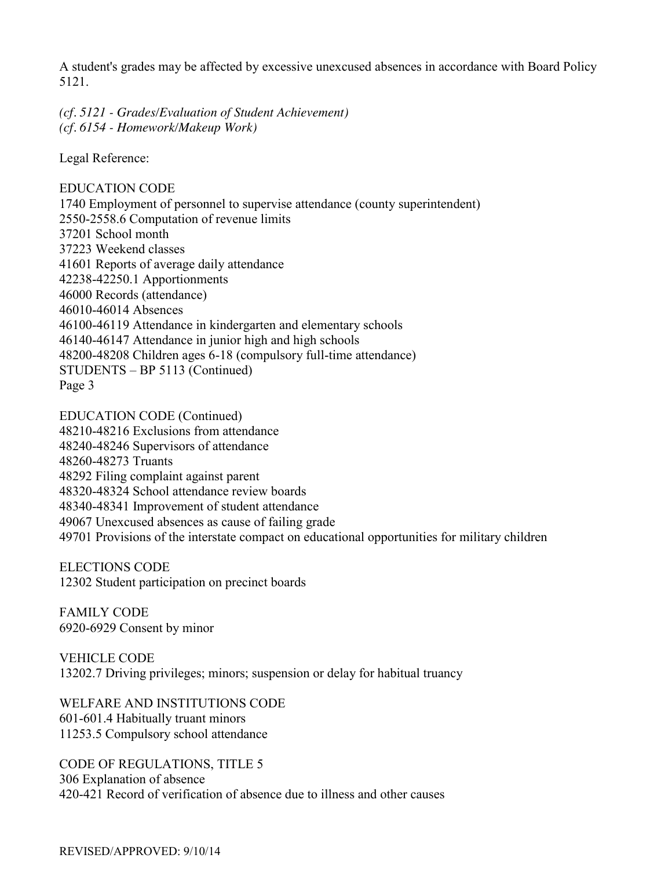A student's grades may be affected by excessive unexcused absences in accordance with Board Policy 5121.

*(cf. [5121](http://gamutonline.net/displayPolicy/315743/5) - Grades/Evaluation of Student Achievement) (cf. [6154](http://gamutonline.net/displayPolicy/171663/5) - Homework/Makeup Work)*

Legal Reference:

EDUCATION CODE Employment of personnel to supervise attendance (county superintendent) [-2558.6](http://gamutonline.net/displayPolicy/129143/5) Computation of revenue limits School month Weekend classes Reports of average daily attendance [-42250.1](http://gamutonline.net/displayPolicy/131583/5) Apportionments Records (attendance) [-46014](http://gamutonline.net/displayPolicy/131974/5) Absences [-46119](http://gamutonline.net/displayPolicy/131985/5) Attendance in kindergarten and elementary schools [-46147](http://gamutonline.net/displayPolicy/131993/5) Attendance in junior high and high schools [-48208](http://gamutonline.net/displayPolicy/132077/5) Children ages 6-18 (compulsory full-time attendance) STUDENTS – BP 5113 (Continued) Page 3

EDUCATION CODE (Continued) [-48216](http://gamutonline.net/displayPolicy/136108/5) Exclusions from attendance [-48246](http://gamutonline.net/displayPolicy/132112/5) Supervisors of attendance [-48273](http://gamutonline.net/displayPolicy/132127/5) Truants Filing complaint against parent [-48324](http://gamutonline.net/displayPolicy/132138/5) School attendance review boards [-48341](http://gamutonline.net/displayPolicy/132141/5) Improvement of student attendance Unexcused absences as cause of failing grade Provisions of the interstate compact on educational opportunities for military children

ELECTIONS CODE [12302](http://gamutonline.net/displayPolicy/369762/5) Student participation on precinct boards

FAMILY CODE [6920](http://gamutonline.net/displayPolicy/140481/5)[-6929](http://gamutonline.net/displayPolicy/140494/5) Consent by minor

VEHICLE CODE [13202.7](http://gamutonline.net/displayPolicy/192166/5) Driving privileges; minors; suspension or delay for habitual truancy

WELFARE AND INSTITUTIONS CODE [601](http://gamutonline.net/displayPolicy/194765/5)[-601.4](http://gamutonline.net/displayPolicy/195322/5) Habitually truant minors [11253.5](http://gamutonline.net/displayPolicy/195064/5) Compulsory school attendance

CODE OF REGULATIONS, TITLE 5 [306](http://gamutonline.net/displayPolicy/186806/5) Explanation of absence [420](http://gamutonline.net/displayPolicy/186819/5)[-421](http://gamutonline.net/displayPolicy/186820/5) Record of verification of absence due to illness and other causes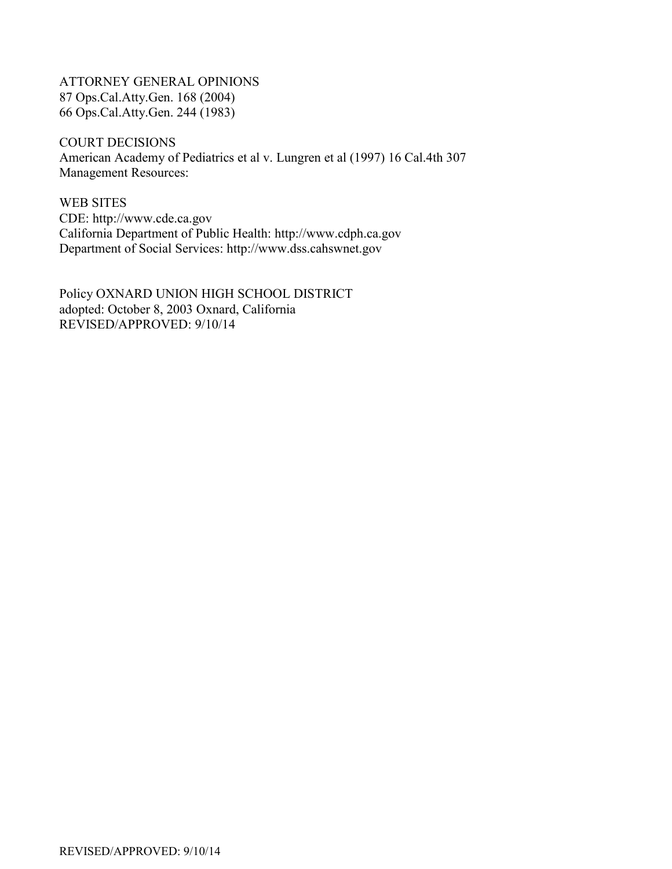ATTORNEY GENERAL OPINIONS 87 Ops.Cal.Atty.Gen. 168 (2004) 66 Ops.Cal.Atty.Gen. 244 (1983)

COURT DECISIONS American Academy of Pediatrics et al v. Lungren et al (1997) 16 Cal.4th 307 Management Resources:

WEB SITES CDE: [http://www.cde.ca.gov](http://www.cde.ca.gov/) California Department of Public Health: [http://www.cdph.ca.gov](http://www.cdph.ca.gov/) Department of Social Services: [http://www.dss.cahswnet.gov](http://www.dss.cahswnet.gov/)

Policy OXNARD UNION HIGH SCHOOL DISTRICT adopted: October 8, 2003 Oxnard, California REVISED/APPROVED: 9/10/14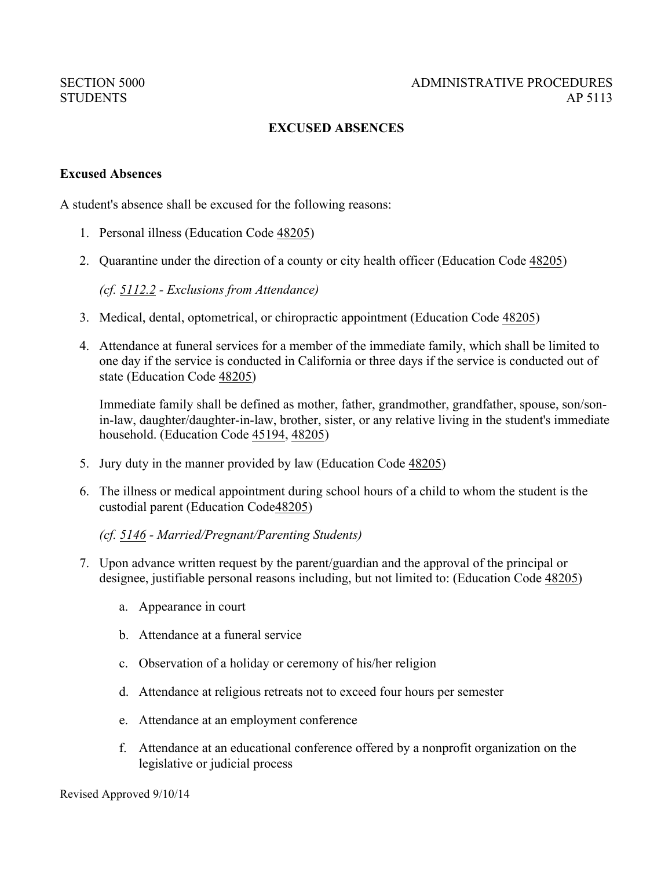# **EXCUSED ABSENCES**

#### **Excused Absences**

A student's absence shall be excused for the following reasons:

- 1. Personal illness (Education Code 48205)
- 2. Quarantine under the direction of a county or city health officer (Education Code 48205)

*(cf. 5112.2 - Exclusions from Attendance)*

- 3. Medical, dental, optometrical, or chiropractic appointment (Education Code 48205)
- 4. Attendance at funeral services for a member of the immediate family, which shall be limited to one day if the service is conducted in California or three days if the service is conducted out of state (Education Code 48205)

Immediate family shall be defined as mother, father, grandmother, grandfather, spouse, son/sonin-law, daughter/daughter-in-law, brother, sister, or any relative living in the student's immediate household. (Education Code 45194, 48205)

- 5. Jury duty in the manner provided by law (Education Code 48205)
- 6. The illness or medical appointment during school hours of a child to whom the student is the custodial parent (Education Code48205)

*(cf. 5146 - Married/Pregnant/Parenting Students)*

- 7. Upon advance written request by the parent/guardian and the approval of the principal or designee, justifiable personal reasons including, but not limited to: (Education Code 48205)
	- a. Appearance in court
	- b. Attendance at a funeral service
	- c. Observation of a holiday or ceremony of his/her religion
	- d. Attendance at religious retreats not to exceed four hours per semester
	- e. Attendance at an employment conference
	- f. Attendance at an educational conference offered by a nonprofit organization on the legislative or judicial process

Revised Approved 9/10/14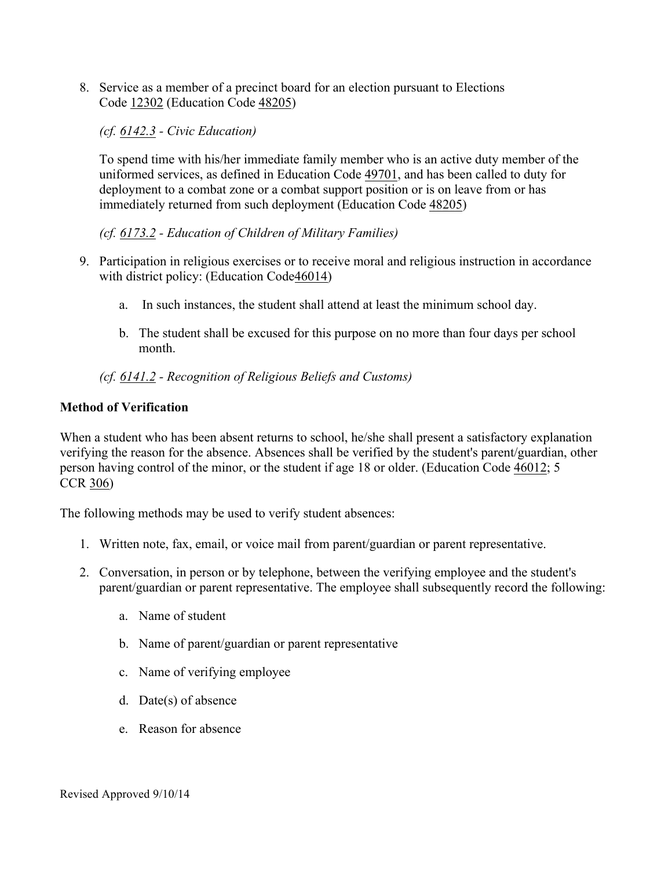8. Service as a member of a precinct board for an election pursuant to Elections Code 12302 (Education Code 48205)

*(cf. 6142.3 - Civic Education)*

To spend time with his/her immediate family member who is an active duty member of the uniformed services, as defined in Education Code 49701, and has been called to duty for deployment to a combat zone or a combat support position or is on leave from or has immediately returned from such deployment (Education Code 48205)

*(cf. 6173.2 - Education of Children of Military Families)*

- 9. Participation in religious exercises or to receive moral and religious instruction in accordance with district policy: (Education Code46014)
	- a. In such instances, the student shall attend at least the minimum school day.
	- b. The student shall be excused for this purpose on no more than four days per school month.

# *(cf. 6141.2 - Recognition of Religious Beliefs and Customs)*

# **Method of Verification**

When a student who has been absent returns to school, he/she shall present a satisfactory explanation verifying the reason for the absence. Absences shall be verified by the student's parent/guardian, other person having control of the minor, or the student if age 18 or older. (Education Code 46012; 5 CCR 306)

The following methods may be used to verify student absences:

- 1. Written note, fax, email, or voice mail from parent/guardian or parent representative.
- 2. Conversation, in person or by telephone, between the verifying employee and the student's parent/guardian or parent representative. The employee shall subsequently record the following:
	- a. Name of student
	- b. Name of parent/guardian or parent representative
	- c. Name of verifying employee
	- d. Date(s) of absence
	- e. Reason for absence